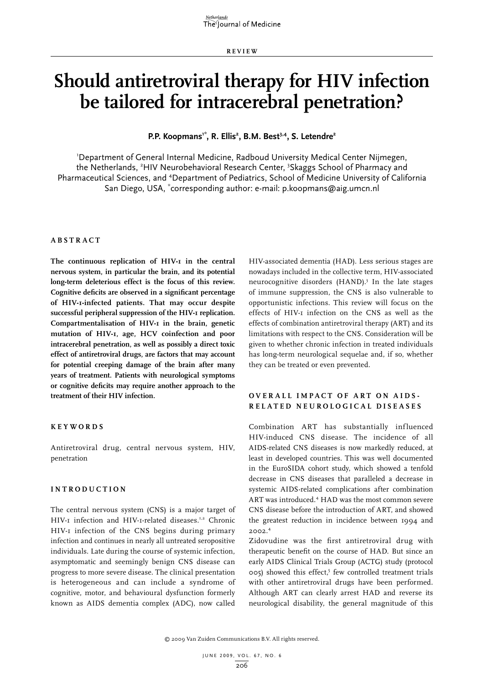**RE V IE W**

# **Should antiretroviral therapy for HIV infection be tailored for intracerebral penetration?**

P.P. Koopmans<sup>1\*</sup>, R. Ellis<sup>2</sup>, B.M. Best<sup>3,4</sup>, S. Letendre<sup>2</sup>

1 Department of General Internal Medicine, Radboud University Medical Center Nijmegen, the Netherlands, <sup>2</sup>HIV Neurobehavioral Research Center, <sup>3</sup>Skaggs School of Pharmacy and Pharmaceutical Sciences, and <sup>4</sup>Department of Pediatrics, School of Medicine University of California San Diego, USA, \* corresponding author: e-mail: p.koopmans@aig.umcn.nl

#### **Ab stra c t**

**The continuous replication of HIV-1 in the central nervous system, in particular the brain, and its potential long-term deleterious effect is the focus of this review. Cognitive deficits are observed in a significant percentage of HIV-1-infected patients. That may occur despite successful peripheral suppression of the HIV-1 replication. Compartmentalisation of HIV-1 in the brain, genetic mutation of HIV-1, age, HCV coinfection and poor intracerebral penetration, as well as possibly a direct toxic effect of antiretroviral drugs, are factors that may account for potential creeping damage of the brain after many years of treatment. Patients with neurological symptoms or cognitive deficits may require another approach to the treatment of their HIV infection.**

#### **Key w ords**

Antiretroviral drug, central nervous system, HIV, penetration

### **I ntrod uc tion**

The central nervous system (CNS) is a major target of HIV-I infection and HIV-I-related diseases.<sup>1,2</sup> Chronic HIV-1 infection of the CNS begins during primary infection and continues in nearly all untreated seropositive individuals. Late during the course of systemic infection, asymptomatic and seemingly benign CNS disease can progress to more severe disease. The clinical presentation is heterogeneous and can include a syndrome of cognitive, motor, and behavioural dysfunction formerly known as AIDS dementia complex (ADC), now called

HIV-associated dementia (HAD). Less serious stages are nowadays included in the collective term, HIV-associated neurocognitive disorders (HAND).<sup>3</sup> In the late stages of immune suppression, the CNS is also vulnerable to opportunistic infections. This review will focus on the effects of HIV-1 infection on the CNS as well as the effects of combination antiretroviral therapy (ART) and its limitations with respect to the CNS. Consideration will be given to whether chronic infection in treated individuals has long-term neurological sequelae and, if so, whether they can be treated or even prevented.

# **Ov erall im pa c t of ART on AIDS related ne u rolo g i c a l d i s e a s e s**

Combination ART has substantially influenced HIV-induced CNS disease. The incidence of all AIDS-related CNS diseases is now markedly reduced, at least in developed countries. This was well documented in the EuroSIDA cohort study, which showed a tenfold decrease in CNS diseases that paralleled a decrease in systemic AIDS-related complications after combination ART was introduced.<sup>4</sup> HAD was the most common severe CNS disease before the introduction of ART, and showed the greatest reduction in incidence between 1994 and 2002.4

Zidovudine was the first antiretroviral drug with therapeutic benefit on the course of HAD. But since an early AIDS Clinical Trials Group (ACTG) study (protocol 005) showed this effect,<sup>5</sup> few controlled treatment trials with other antiretroviral drugs have been performed. Although ART can clearly arrest HAD and reverse its neurological disability, the general magnitude of this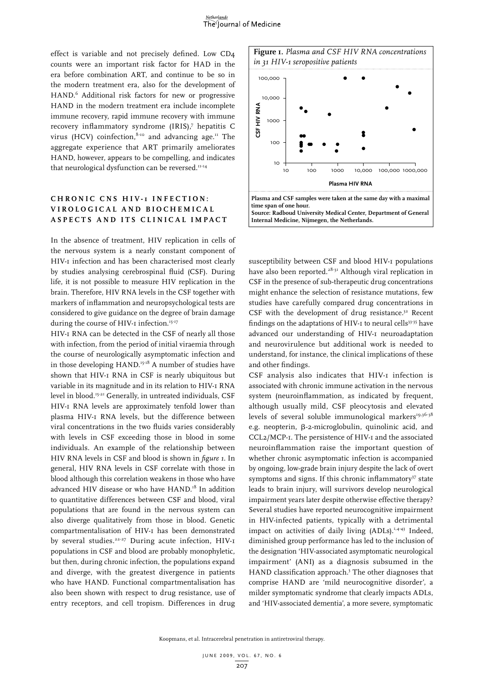effect is variable and not precisely defined. Low CD4 counts were an important risk factor for HAD in the era before combination ART, and continue to be so in the modern treatment era, also for the development of HAND.<sup>6</sup> Additional risk factors for new or progressive HAND in the modern treatment era include incomplete immune recovery, rapid immune recovery with immune recovery inflammatory syndrome (IRIS),7 hepatitis C virus (HCV) coinfection,  $8-10$  and advancing age.<sup>11</sup> The aggregate experience that ART primarily ameliorates HAND, however, appears to be compelling, and indicates that neurological dysfunction can be reversed.<sup>11-14</sup>

# **C h r o n i c C NS H I V - 1 i n f e c t i o n : v irolo g i c al and b i o ch emi c a l a s p e c ts and its c lini c al im pa c t**

In the absence of treatment, HIV replication in cells of the nervous system is a nearly constant component of HIV-1 infection and has been characterised most clearly by studies analysing cerebrospinal fluid (CSF). During life, it is not possible to measure HIV replication in the brain. Therefore, HIV RNA levels in the CSF together with markers of inflammation and neuropsychological tests are considered to give guidance on the degree of brain damage during the course of HIV-I infection.<sup>15-17</sup>

HIV-1 RNA can be detected in the CSF of nearly all those with infection, from the period of initial viraemia through the course of neurologically asymptomatic infection and in those developing HAND.<sup>15-18</sup> A number of studies have shown that HIV-1 RNA in CSF is nearly ubiquitous but variable in its magnitude and in its relation to HIV-1 RNA level in blood.15-21 Generally, in untreated individuals, CSF HIV-1 RNA levels are approximately tenfold lower than plasma HIV-1 RNA levels, but the difference between viral concentrations in the two fluids varies considerably with levels in CSF exceeding those in blood in some individuals. An example of the relationship between HIV RNA levels in CSF and blood is shown in *figure 1*. In general, HIV RNA levels in CSF correlate with those in blood although this correlation weakens in those who have advanced HIV disease or who have HAND.<sup>18</sup> In addition to quantitative differences between CSF and blood, viral populations that are found in the nervous system can also diverge qualitatively from those in blood. Genetic compartmentalisation of HIV-1 has been demonstrated by several studies.<sup>22-27</sup> During acute infection, HIV-I populations in CSF and blood are probably monophyletic, but then, during chronic infection, the populations expand and diverge, with the greatest divergence in patients who have HAND. Functional compartmentalisation has also been shown with respect to drug resistance, use of entry receptors, and cell tropism. Differences in drug





susceptibility between CSF and blood HIV-1 populations have also been reported.<sup>28-31</sup> Although viral replication in CSF in the presence of sub-therapeutic drug concentrations might enhance the selection of resistance mutations, few studies have carefully compared drug concentrations in CSF with the development of drug resistance.<sup>32</sup> Recent findings on the adaptations of HIV-I to neural cells<sup>33-35</sup> have advanced our understanding of HIV-1 neuroadaptation and neurovirulence but additional work is needed to understand, for instance, the clinical implications of these and other findings.

CSF analysis also indicates that HIV-1 infection is associated with chronic immune activation in the nervous system (neuroinflammation, as indicated by frequent, although usually mild, CSF pleocytosis and elevated levels of several soluble immunological markers<sup>19,36-38</sup> e.g. neopterin, β-2-microglobulin, quinolinic acid, and CCL2/MCP-1. The persistence of HIV-1 and the associated neuroinflammation raise the important question of whether chronic asymptomatic infection is accompanied by ongoing, low-grade brain injury despite the lack of overt symptoms and signs. If this chronic inflammatory<sup>37</sup> state leads to brain injury, will survivors develop neurological impairment years later despite otherwise effective therapy? Several studies have reported neurocognitive impairment in HIV-infected patients, typically with a detrimental impact on activities of daily living  $(ADLs).<sup>1,4-43</sup>$  Indeed, diminished group performance has led to the inclusion of the designation 'HIV-associated asymptomatic neurological impairment' (ANI) as a diagnosis subsumed in the HAND classification approach.<sup>3</sup> The other diagnoses that comprise HAND are 'mild neurocognitive disorder', a milder symptomatic syndrome that clearly impacts ADLs, and 'HIV-associated dementia', a more severe, symptomatic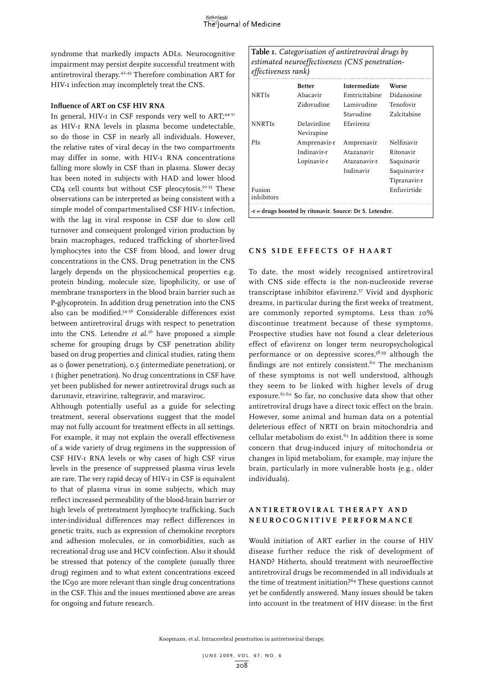syndrome that markedly impacts ADLs. Neurocognitive impairment may persist despite successful treatment with antiretroviral therapy.42,43 Therefore combination ART for HIV-1 infection may incompletely treat the CNS.

### **Influence of ART on CSF HIV RNA**

In general, HIV-I in CSF responds very well to ART;<sup>44-51</sup> as HIV-1 RNA levels in plasma become undetectable, so do those in CSF in nearly all individuals. However, the relative rates of viral decay in the two compartments may differ in some, with HIV-1 RNA concentrations falling more slowly in CSF than in plasma. Slower decay has been noted in subjects with HAD and lower blood  $CD<sub>4</sub>$  cell counts but without CSF pleocytosis.<sup>50-53</sup> These observations can be interpreted as being consistent with a simple model of compartmentalised CSF HIV-1 infection, with the lag in viral response in CSF due to slow cell turnover and consequent prolonged virion production by brain macrophages, reduced trafficking of shorter-lived lymphocytes into the CSF from blood, and lower drug concentrations in the CNS. Drug penetration in the CNS largely depends on the physicochemical properties e.g. protein binding, molecule size, lipophilicity, or use of membrane transporters in the blood brain barrier such as P-glycoprotein. In addition drug penetration into the CNS also can be modified.54-56 Considerable differences exist between antiretroviral drugs with respect to penetration into the CNS. Letendre *et al.*56 have proposed a simple scheme for grouping drugs by CSF penetration ability based on drug properties and clinical studies, rating them as 0 (lower penetration), 0.5 (intermediate penetration), or 1 (higher penetration). No drug concentrations in CSF have yet been published for newer antiretroviral drugs such as darunavir, etravirine, raltegravir, and maraviroc.

Although potentially useful as a guide for selecting treatment, several observations suggest that the model may not fully account for treatment effects in all settings. For example, it may not explain the overall effectiveness of a wide variety of drug regimens in the suppression of CSF HIV-1 RNA levels or why cases of high CSF virus levels in the presence of suppressed plasma virus levels are rare. The very rapid decay of HIV-1 in CSF is equivalent to that of plasma virus in some subjects, which may reflect increased permeability of the blood-brain barrier or high levels of pretreatment lymphocyte trafficking. Such inter-individual differences may reflect differences in genetic traits, such as expression of chemokine receptors and adhesion molecules, or in comorbidities, such as recreational drug use and HCV coinfection. Also it should be stressed that potency of the complete (usually three drug) regimen and to what extent concentrations exceed the IC90 are more relevant than single drug concentrations in the CSF. This and the issues mentioned above are areas for ongoing and future research.

**Table 1.** *Categorisation of antiretroviral drugs by estimated neuroeffectiveness (CNS penetrationeffectiveness rank)*

|                                                            | <b>Better</b> | <b>Intermediate</b> | Worse        |
|------------------------------------------------------------|---------------|---------------------|--------------|
| <b>NRTIs</b>                                               | Abacavir      | Emtricitabine       | Didanosine   |
|                                                            | Zidovudine    | Lamivudine          | Tenofovir    |
|                                                            |               | Stavudine           | Zalcitabine  |
| <b>NNRTIS</b>                                              | Delavirdine   | Efavirenz           |              |
|                                                            | Nevirapine    |                     |              |
| PIs                                                        | Amprenavir-r  | Amprenavir          | Nelfinavir   |
|                                                            | Indinavir-r   | Atazanavir          | Ritonavir    |
|                                                            | Lopinavir-r   | Atazanavir-r        | Saquinavir   |
|                                                            |               | Indinavir           | Saquinavir-r |
|                                                            |               |                     | Tipranavir-r |
| Fusion                                                     |               |                     | Enfuvirtide  |
| inhibitors                                                 |               |                     |              |
| $-r = drugs$ boosted by ritonavir. Source: Dr S. Letendre. |               |                     |              |

#### **C NS side effe c ts of H AART**

To date, the most widely recognised antiretroviral with CNS side effects is the non-nucleoside reverse transcriptase inhibitor efavirenz.57 Vivid and dysphoric dreams, in particular during the first weeks of treatment, are commonly reported symptoms. Less than 10% discontinue treatment because of these symptoms. Prospective studies have not found a clear deleterious effect of efavirenz on longer term neuropsychological performance or on depressive scores, $5^{8,59}$  although the findings are not entirely consistent.<sup>60</sup> The mechanism of these symptoms is not well understood, although they seem to be linked with higher levels of drug exposure.<sup>61,62</sup> So far, no conclusive data show that other antiretroviral drugs have a direct toxic effect on the brain. However, some animal and human data on a potential deleterious effect of NRTI on brain mitochondria and cellular metabolism do exist. $63$  In addition there is some concern that drug-induced injury of mitochondria or changes in lipid metabolism, for example, may injure the brain, particularly in more vulnerable hosts (e.g., older individuals).

## **A n t i r e t r o v i r a l t h e r a p y a n d n e u r o c o g niti v e p erforman c e**

Would initiation of ART earlier in the course of HIV disease further reduce the risk of development of HAND? Hitherto, should treatment with neuroeffective antiretroviral drugs be recommended in all individuals at the time of treatment initiation?64 These questions cannot yet be confidently answered. Many issues should be taken into account in the treatment of HIV disease: in the first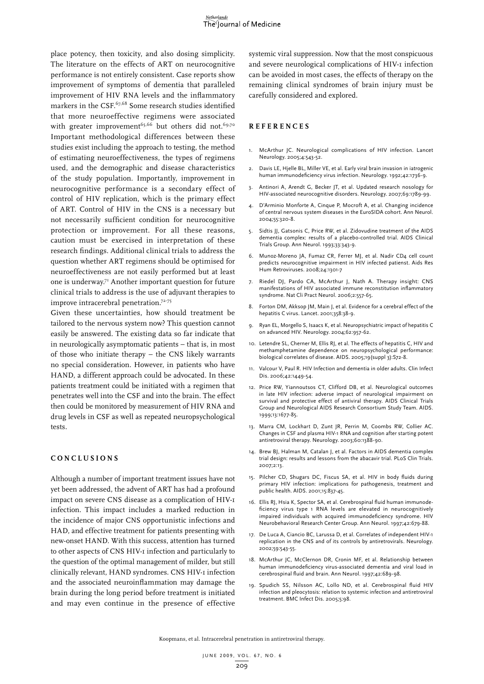place potency, then toxicity, and also dosing simplicity. The literature on the effects of ART on neurocognitive performance is not entirely consistent. Case reports show improvement of symptoms of dementia that paralleled improvement of HIV RNA levels and the inflammatory markers in the CSF.<sup>67,68</sup> Some research studies identified that more neuroeffective regimens were associated with greater improvement<sup>65,66</sup> but others did not.<sup>69,70</sup> Important methodological differences between these studies exist including the approach to testing, the method of estimating neuroeffectiveness, the types of regimens used, and the demographic and disease characteristics of the study population. Importantly, improvement in neurocognitive performance is a secondary effect of control of HIV replication, which is the primary effect of ART. Control of HIV in the CNS is a necessary but not necessarily sufficient condition for neurocognitive protection or improvement. For all these reasons, caution must be exercised in interpretation of these research findings. Additional clinical trials to address the question whether ART regimens should be optimised for neuroeffectiveness are not easily performed but at least one is underway.71 Another important question for future clinical trials to address is the use of adjuvant therapies to improve intracerebral penetration.72-75

Given these uncertainties, how should treatment be tailored to the nervous system now? This question cannot easily be answered. The existing data so far indicate that in neurologically asymptomatic patients - that is, in most of those who initiate therapy - the CNS likely warrants no special consideration. However, in patients who have HAND, a different approach could be advocated. In these patients treatment could be initiated with a regimen that penetrates well into the CSF and into the brain. The effect then could be monitored by measurement of HIV RNA and drug levels in CSF as well as repeated neuropsychological tests.

## **Con c l u sions**

Although a number of important treatment issues have not yet been addressed, the advent of ART has had a profound impact on severe CNS disease as a complication of HIV-1 infection. This impact includes a marked reduction in the incidence of major CNS opportunistic infections and HAD, and effective treatment for patients presenting with new-onset HAND. With this success, attention has turned to other aspects of CNS HIV-1 infection and particularly to the question of the optimal management of milder, but still clinically relevant, HAND syndromes. CNS HIV-1 infection and the associated neuroinflammation may damage the brain during the long period before treatment is initiated and may even continue in the presence of effective

systemic viral suppression. Now that the most conspicuous and severe neurological complications of HIV-1 infection can be avoided in most cases, the effects of therapy on the remaining clinical syndromes of brain injury must be carefully considered and explored.

#### **R eferen c e s**

- 1. McArthur JC. Neurological complications of HIV infection. Lancet Neurology. 2005;4:543-52.
- 2. Davis LE, Hjelle BL, Miller VE, et al. Early viral brain invasion in iatrogenic human immunodeficiency virus infection. Neurology. 1992;42:1736-9.
- 3. Antinori A, Arendt G, Becker JT, et al. Updated research nosology for HIV-associated neurocognitive disorders. Neurology. 2007;69:1789-99.
- 4. D'Arminio Monforte A, Cinque P, Mocroft A, et al. Changing incidence of central nervous system diseases in the EuroSIDA cohort. Ann Neurol. 2004;55:320-8.
- 5. Sidtis JJ, Gatsonis C, Price RW, et al. Zidovudine treatment of the AIDS dementia complex: results of a placebo-controlled trial. AIDS Clinical Trials Group. Ann Neurol. 1993;33:343-9.
- 6. Munoz-Moreno JA, Fumaz CR, Ferrer MJ, et al. Nadir CD4 cell count predicts neurocognitive impairment in HIV infected patienst. Aids Res Hum Retroviruses. 2008;24:1301-7
- 7. Riedel DJ, Pardo CA, McArthur J, Nath A. Therapy insight: CNS manifestations of HIV associated immune reconstitution inflammatory syndrome. Nat Cli Pract Neurol. 2006;2:557-65.
- 8. Forton DM, Akksop JM, Main J, et al. Evidence for a cerebral effect of the hepatitis C virus. Lancet. 2001;358:38-9.
- 9. Ryan EL, Morgello S, Isaacs K, et al. Neuropsychiatric impact of hepatitis C on advanced HIV. Neurology. 2004;62:957-62.
- 10. Letendre SL, Cherner M, Ellis RJ, et al. The effects of hepatitis C, HIV and methamphetamine dependence on neuropsychological performance: biological correlates of disease. AIDS. 2005;19(suppl 3):S72-8.
- 11. Valcour V, Paul R. HIV Infection and dementia in older adults. Clin Infect Dis. 2006;42:1449-54.
- 12. Price RW, Yiannoutsos CT, Clifford DB, et al. Neurological outcomes in late HIV infection: adverse impact of neurological impairment on survival and protective effect of antiviral therapy. AIDS Clinical Trials Group and Neurological AIDS Research Consortium Study Team. AIDS. 1999;13:1677-85.
- 13. Marra CM, Lockhart D, Zunt JR, Perrin M, Coombs RW, Collier AC. Changes in CSF and plasma HIV-1 RNA and cognition after starting potent antiretroviral therapy. Neurology. 2003;60:1388-90.
- 14. Brew BJ, Halman M, Catalan J, et al. Factors in AIDS dementia complex trial design: results and lessons from the abacavir trial. PLoS Clin Trials. 2007;2:13.
- 15. Pilcher CD, Shugars DC, Fiscus SA, et al. HIV in body fluids during primary HIV infection: implications for pathogenesis, treatment and public health. AIDS. 2001;15:837-45.
- 16. Ellis RJ, Hsia K, Spector SA, et al. Cerebrospinal fluid human immunodeficiency virus type 1 RNA levels are elevated in neurocognitively impaired individuals with acquired immunodeficiency syndrome. HIV Neurobehavioral Research Center Group. Ann Neurol. 1997;42:679-88.
- 17. De Luca A, Ciancio BC, Larussa D, et al. Correlates of independent HIV-1 replication in the CNS and of its controls by antiretrovirals. Neurology. 2002;59:543-55.
- 18. McArthur JC, McClernon DR, Cronin MF, et al. Relationship between human immunodeficiency virus-associated dementia and viral load in cerebrospinal fluid and brain. Ann Neurol. 1997;42:689-98.
- 19. Spudich SS, Nilsson AC, Lollo ND, et al. Cerebrospinal fluid HIV infection and pleocytosis: relation to systemic infection and antiretroviral treatment. BMC Infect Dis. 2005;5:98.

Koopmans, et al. Intracerebral penetration in antiretroviral therapy.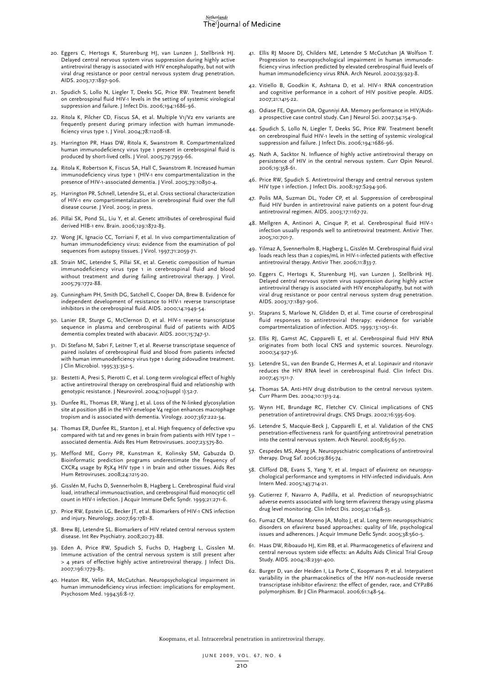- 20. Eggers C, Hertogs K, Sturenburg HJ, van Lunzen J, Stellbrink HJ. Delayed central nervous system virus suppression during highly active antiretroviral therapy is associated with HIV encephalopathy, but not with viral drug resistance or poor central nervous system drug penetration. AIDS. 2003;17:1897-906.
- 21. Spudich S, Lollo N, Liegler T, Deeks SG, Price RW. Treatment benefit on cerebrospinal fluid HIV-1 levels in the setting of systemic virological suppression and failure. J Infect Dis. 2006;194:1686-96.
- 22. Ritola K, Pilcher CD, Fiscus SA, et al. Multiple V1/V2 env variants are frequently present during primary infection with human immunodeficiency virus type 1. J Virol. 2004;78:11208-18.
- 23. Harrington PR, Haas DW, Ritola K, Swanstrom R. Compartmentalized human immunodeficiency virus type 1 present in cerebrospinal fluid is produced by short-lived cells. J Virol. 2005;79:7959-66.
- 24. Ritola K, Robertson K, Fiscus SA, Hall C, Swanstrom R. Increased human immunodeficiency virus type 1 (HIV-1 env compartmentalization in the presence of HIV-1-associated dementia. J Virol. 2005;79:10830-4.
- 25. Harrington PR, Schnell, Letendre SL, et al. Cross sectional characterization of HIV-1 env compartimentalization in cerebrospinal fluid over the full disease course. J Virol. 2009; in press.
- 26. Pillai SK, Pond SL, Liu Y, et al. Genetc attributes of cerebrospinal fluid derived HIB-1 env. Brain. 2006;129:1872-83.
- 27. Wong JK, Ignacio CC, Torriani F, et al. In vivo compartimentalization of human immunodeficiency virus: evidence from the examination of pol sequences from autopsy tissues. J Virol. 1997;71:2059-71.
- 28. Strain MC, Letendre S, Pillai SK, et al. Genetic composition of human immunodeficiency virus type 1 in cerebrospinal fluid and blood without treatment and during failing antiretroviral therapy. J Virol. 2005;79:1772-88.
- 29. Cunningham PH, Smith DG, Satchell C, Cooper DA, Brew B. Evidence for independent development of resistance to HIV-1 reverse transcriptase inhibitors in the cerebrospinal fluid. AIDS. 2000;14:1949-54.
- 30. Lanier ER, Sturge G, McClernon D, et al. HIV-1 reverse transcriptase sequence in plasma and cerebrospinal fluid of patients with AIDS dementia complex treated with abacavir. AIDS. 2001;15:747-51.
- 31. Di Stefano M, Sabri F, Leitner T, et al. Reverse transcriptase sequence of paired isolates of cerebrospinal fluid and blood from patients infected with human immunodeficiency virus type 1 during zidovudine treatment. J Clin Microbiol. 1995;33:352-5.
- 32. Bestetti A, Presi S, Pierotti C, et al. Long-term virological effect of highly active antiretroviral therapy on cerebrospinal fluid and relationship with genotypic resistance. J Neurovirol. 2004;10(suppl 1):52-7.
- 33. Dunfee RL, Thomas ER, Wang J, et al. Loss of the N-linked glycosylation site at position 386 in the HIV envelope V4 region enhances macrophage tropism and is associated with dementia. Virology. 2007;367:222-34.
- 34. Thomas ER, Dunfee RL, Stanton J, et al. High frequency of defective vpu compared with tat and rev genes in brain from patients with HIV type 1 – associated dementia. Aids Res Hum Retrovirusues. 2007;23:575-80.
- 35. Mefford ME, Gorry PR, Kunstman K, Kolinsky SM, Gabuzda D. Bioinformatic prediction programs underestimate the frequency of CXCR4 usage by R5X4 HIV type 1 in brain and other tissues. Aids Res Hum Retroviruses. 2008;24:1215-20.
- 36. Gisslén M, Fuchs D, Svennerholm B, Hagberg L. Cerebrospinal fluid viral load, intrathecal immunoactivation, and cerebrospinal fluid monocytic cell count in HIV-1 infection. J Acquir Immune Defic Syndr. 1999;21:271-6.
- 37. Price RW, Epstein LG, Becker JT, et al. Biomarkers of HIV-1 CNS infection and injury. Neurology. 2007;69:1781-8.
- 38. Brew BJ, Letendre SL. Biomarkers of HIV related central nervous system disease. Int Rev Psychiatry. 2008;20:73-88.
- 39. Eden A, Price RW, Spudich S, Fuchs D, Hagberg L, Gisslen M. Immune activation of the central nervous system is still present after > 4 years of effective highly active antiretroviral therapy. J Infect Dis. 2007;196:1779-83.
- 40. Heaton RK, Velin RA, McCutchan. Neuropsychological impairment in human immunodeficiency virus infection: implications for employment. Psychosom Med. 1994;56:8-17.
- 41. Ellis RJ Moore DJ, Childers ME, Letendre S McCutchan JA Wolfson T. Progression to neuropsychological impairment in human immunodeficiency virus infection predicted by elevated cerebrospinal fluid levels of human immunodeficiency virus RNA. Arch Neurol. 2002;59:923-8.
- 42. Vitiello B, Goodkin K, Ashtana D, et al. HIV-1 RNA concentration and cognitive performance in a cohort of HIV positive people. AIDS. 2007;21:1415-22.
- 43. Odiase FE, Ogunrin OA, Ogunniyi AA. Memory performance in HIV/Aidsa prospective case control study. Can J Neurol Sci. 2007;34:154-9.
- 44. Spudich S, Lollo N, Liegler T, Deeks SG, Price RW. Treatment benefit on cerebrospinal fluid HIV-1 levels in the setting of systemic virological suppression and failure. J Infect Dis. 2006;194:1686-96.
- 45. Nath A, Sacktor N. Influence of highly active antiretroviral therapy on persistence of HIV in the central nervous system. Curr Opin Neurol. 2006;19:358-61.
- 46. Price RW, Spudich S. Antiretroviral therapy and central nervous system HIV type 1 infection. J Infect Dis. 2008;197:S294-306.
- 47. Polis MA, Suzman DL, Yoder CP, et al. Suppression of cerebrospinal fluid HIV burden in antiretroviral naive patients on a potent four-drug antiretroviral regimen. AIDS. 2003;17:1167-72.
- 48. Mellgren A, Antinori A, Cinque P, et al. Cerebrospinal fluid HIV-1 infection usually responds well to antiretroviral treatment. Antivir Ther. 2005;10:701-7.
- 49. Yilmaz A, Svennerholm B, Hagberg L, Gisslén M. Cerebrospinal fluid viral loads reach less than 2 copies/mL in HIV-1-infected patients with effective antiretroviral therapy. Antivir Ther. 2006;11:833-7.
- 50. Eggers C, Hertogs K, Sturenburg HJ, van Lunzen J, Stellbrink HJ. Delayed central nervous system virus suppression during highly active antiretroviral therapy is associated with HIV encephalopathy, but not with viral drug resistance or poor central nervous system drug penetration. AIDS. 2003;17:1897-906.
- 51. Staprans S, Marlowe N, Glidden D, et al. Time course of cerebrospinal fluid responses to antiretroviral therapy: evidence for variable compartmentalization of infection. AIDS. 1999;13:1051-61.
- 52. Ellis RJ, Gamst AC, Capparelli E, et al. Cerebrospinal fluid HIV RNA originates from both local CNS and systemic sources. Neurology. 2000;54:927-36.
- 53. Letendre SL, van den Brande G, Hermes A, et al. Lopinavir and ritonavir reduces the HIV RNA level in cerebrospinal fluid. Clin Infect Dis. 2007;45:1511-7.
- 54. Thomas SA. Anti-HIV drug distribution to the central nervous system. Curr Pharm Des. 2004;10:1313-24.
- 55. Wynn HE, Brundage RC, Fletcher CV. Clinical implications of CNS penetration of antiretroviral drugs. CNS Drugs. 2002;16:595-609.
- 56. Letendre S, Macquie-Beck J, Capparelli E, et al. Validation of the CNS penetration-effectiveness rank for quantifying antiretroviral penetration into the central nervous system. Arch Neurol. 2008;65:65-70.
- 57. Cespedes MS, Aberg JA. Neuropyschiatric complications of antiretroviral therapy. Drug Saf. 2006;29:865-74.
- 58. Clifford DB, Evans S, Yang Y, et al. Impact of efavirenz on neuropsychological performance and symptoms in HIV-infected individuals. Ann Intern Med. 2005;143:714-21.
- 59. Gutierrez F, Navarro A, Padilla, et al. Prediction of neuropsychiatric adverse events associated with long term efavirenz therapy using plasma drug level monitoring. Clin Infect Dis. 2005;41:1648-53.
- 60. Fumaz CR, Munoz Moreno JA, Molto J, et al. Long term neuropsychiatric disorders on efavirenz based approaches: quality of life, psychological issues and adherences. J Acquir Immune Defic Syndr. 2005;38:560-5.
- 61. Haas DW, Riboaudo HJ, Kim RB, et al. Pharmacogenetics of efavirenz and central nervous system side effects: an Adults Aids Clinical Trial Group Study. AIDS. 2004;18:2391-400.
- 62. Burger D, van der Heiden I, La Porte C, Koopmans P, et al. Interpatient variability in the pharmacokinetics of the HIV non-nucleoside reverse transcriptase inhibitor efavirenz: the effect of gender, race, and CYP2B6 polymorphism. Br J Clin Pharmacol. 2006;61:148-54.

Koopmans, et al. Intracerebral penetration in antiretroviral therapy.